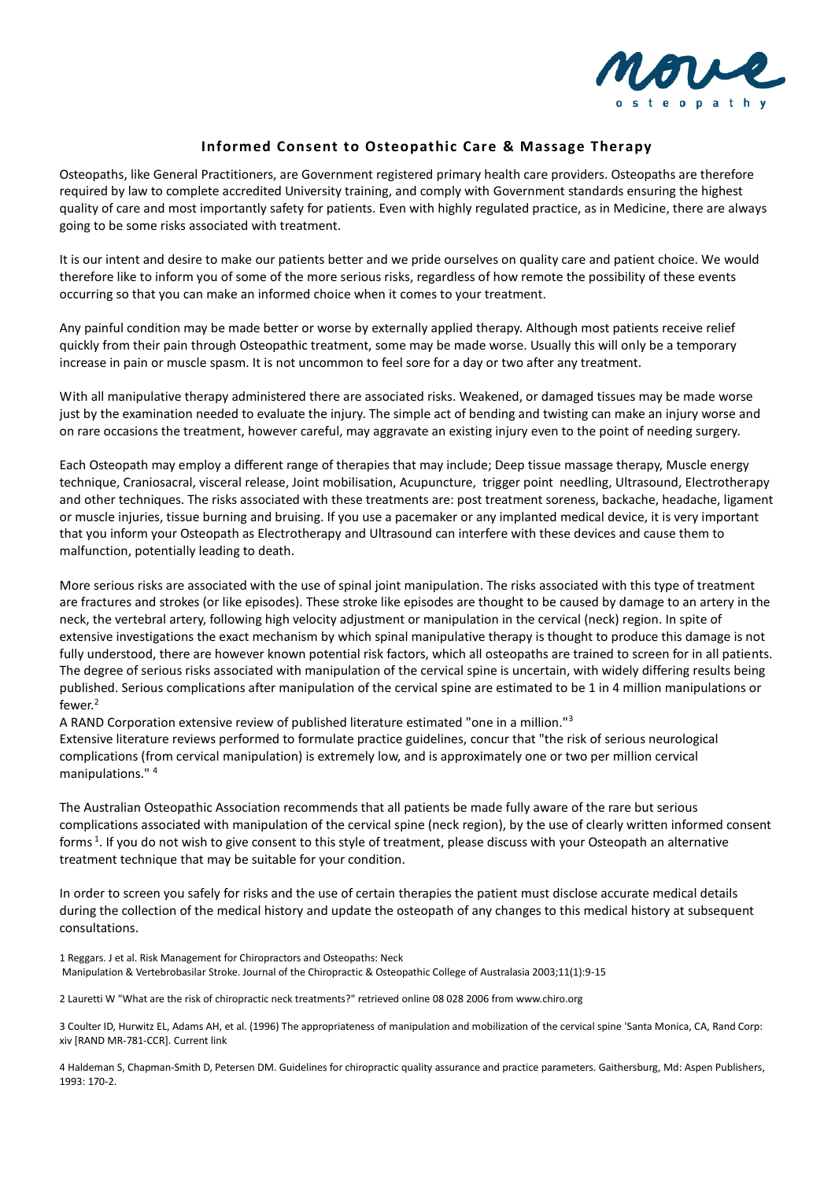

## **Informed Consent to Osteopathic Care & Massage Therapy**

Osteopaths, like General Practitioners, are Government registered primary health care providers. Osteopaths are therefore required by law to complete accredited University training, and comply with Government standards ensuring the highest quality of care and most importantly safety for patients. Even with highly regulated practice, as in Medicine, there are always going to be some risks associated with treatment.

It is our intent and desire to make our patients better and we pride ourselves on quality care and patient choice. We would therefore like to inform you of some of the more serious risks, regardless of how remote the possibility of these events occurring so that you can make an informed choice when it comes to your treatment.

Any painful condition may be made better or worse by externally applied therapy. Although most patients receive relief quickly from their pain through Osteopathic treatment, some may be made worse. Usually this will only be a temporary increase in pain or muscle spasm. It is not uncommon to feel sore for a day or two after any treatment.

With all manipulative therapy administered there are associated risks. Weakened, or damaged tissues may be made worse just by the examination needed to evaluate the injury. The simple act of bending and twisting can make an injury worse and on rare occasions the treatment, however careful, may aggravate an existing injury even to the point of needing surgery.

Each Osteopath may employ a different range of therapies that may include; Deep tissue massage therapy, Muscle energy technique, Craniosacral, visceral release, Joint mobilisation, Acupuncture, trigger point needling, Ultrasound, Electrotherapy and other techniques. The risks associated with these treatments are: post treatment soreness, backache, headache, ligament or muscle injuries, tissue burning and bruising. If you use a pacemaker or any implanted medical device, it is very important that you inform your Osteopath as Electrotherapy and Ultrasound can interfere with these devices and cause them to malfunction, potentially leading to death.

More serious risks are associated with the use of spinal joint manipulation. The risks associated with this type of treatment are fractures and strokes (or like episodes). These stroke like episodes are thought to be caused by damage to an artery in the neck, the vertebral artery, following high velocity adjustment or manipulation in the cervical (neck) region. In spite of extensive investigations the exact mechanism by which spinal manipulative therapy is thought to produce this damage is not fully understood, there are however known potential risk factors, which all osteopaths are trained to screen for in all patients. The degree of serious risks associated with manipulation of the cervical spine is uncertain, with widely differing results being published. Serious complications after manipulation of the cervical spine are estimated to be 1 in 4 million manipulations or fewer.<sup>2</sup>

A RAND Corporation extensive review of published literature estimated "one in a million."<sup>3</sup> Extensive literature reviews performed to formulate practice guidelines, concur that "the risk of serious neurological complications (from cervical manipulation) is extremely low, and is approximately one or two per million cervical manipulations." <sup>4</sup>

The Australian Osteopathic Association recommends that all patients be made fully aware of the rare but serious complications associated with manipulation of the cervical spine (neck region), by the use of clearly written informed consent forms<sup>1</sup>. If you do not wish to give consent to this style of treatment, please discuss with your Osteopath an alternative treatment technique that may be suitable for your condition.

In order to screen you safely for risks and the use of certain therapies the patient must disclose accurate medical details during the collection of the medical history and update the osteopath of any changes to this medical history at subsequent consultations.

1 Reggars. J et al. Risk Management for Chiropractors and Osteopaths: Neck Manipulation & Vertebrobasilar Stroke. Journal of the Chiropractic & Osteopathic College of Australasia 2003;11(1):9-15

2 Lauretti W "What are the risk of chiropractic neck treatments?" retrieved online 08 028 2006 from www.chiro.org

3 Coulter ID, Hurwitz EL, Adams AH, et al. (1996) The appropriateness of manipulation and mobilization of the cervical spine 'Santa Monica, CA, Rand Corp: xiv [RAND MR-781-CCR]. Current link

4 Haldeman S, Chapman-Smith D, Petersen DM. Guidelines for chiropractic quality assurance and practice parameters. Gaithersburg, Md: Aspen Publishers, 1993: 170-2.